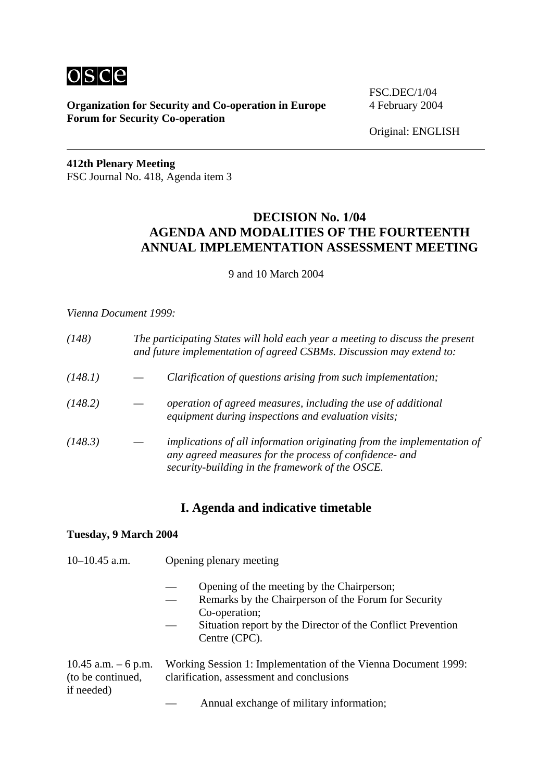

**Organization for Security and Co-operation in Europe** 4 February 2004 **Forum for Security Co-operation**

FSC.DEC/1/04

Original: ENGLISH

**412th Plenary Meeting**  FSC Journal No. 418, Agenda item 3

# **DECISION No. 1/04 AGENDA AND MODALITIES OF THE FOURTEENTH ANNUAL IMPLEMENTATION ASSESSMENT MEETING**

9 and 10 March 2004

#### *Vienna Document 1999:*

| (148)   |                                                                                                                                                                                     | The participating States will hold each year a meeting to discuss the present<br>and future implementation of agreed CSBMs. Discussion may extend to: |  |
|---------|-------------------------------------------------------------------------------------------------------------------------------------------------------------------------------------|-------------------------------------------------------------------------------------------------------------------------------------------------------|--|
| (148.1) | Clarification of questions arising from such implementation;                                                                                                                        |                                                                                                                                                       |  |
| (148.2) | operation of agreed measures, including the use of additional<br>equipment during inspections and evaluation visits;                                                                |                                                                                                                                                       |  |
| (148.3) | implications of all information originating from the implementation of<br>any agreed measures for the process of confidence- and<br>security-building in the framework of the OSCE. |                                                                                                                                                       |  |

## **I. Agenda and indicative timetable**

#### **Tuesday, 9 March 2004**

| $10-10.45$ a.m.                                         | Opening plenary meeting                                                                                                                                                                             |  |
|---------------------------------------------------------|-----------------------------------------------------------------------------------------------------------------------------------------------------------------------------------------------------|--|
|                                                         | Opening of the meeting by the Chairperson;<br>Remarks by the Chairperson of the Forum for Security<br>Co-operation;<br>Situation report by the Director of the Conflict Prevention<br>Centre (CPC). |  |
| 10.45 a.m. $-6$ p.m.<br>(to be continued,<br>if needed) | Working Session 1: Implementation of the Vienna Document 1999:<br>clarification, assessment and conclusions                                                                                         |  |
|                                                         | Annual exchange of military information;                                                                                                                                                            |  |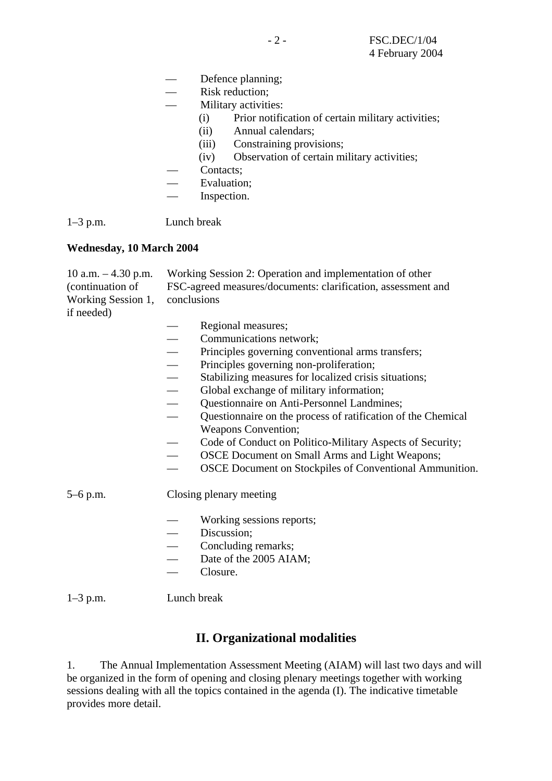- Defence planning;
- Risk reduction;
- Military activities:
	- (i) Prior notification of certain military activities;
	- (ii) Annual calendars;
	- (iii) Constraining provisions;
	- (iv) Observation of certain military activities;
- Contacts:
- Evaluation;
	- Inspection.

1–3 p.m. Lunch break

#### **Wednesday, 10 March 2004**

10 a.m. – 4.30 p.m. Working Session 2: Operation and implementation of other (continuation of FSC-agreed measures/documents: clarification, assessment and Working Session 1, conclusions if needed)

- Regional measures;
- Communications network;<br>— Principles governing conve
- Principles governing conventional arms transfers;
- 
- Principles governing non-proliferation;<br>
 Stabilizing measures for localized crisis — Stabilizing measures for localized crisis situations;<br>
— Global exchange of military information;
- Global exchange of military information;<br>— Ouestionnaire on Anti-Personnel Landmin
- 
- Questionnaire on Anti-Personnel Landmines;<br>— Questionnaire on the process of ratification of — Questionnaire on the process of ratification of the Chemical Weapons Convention;
- Code of Conduct on Politico-Military Aspects of Security;
- OSCE Document on Small Arms and Light Weapons;
- OSCE Document on Stockpiles of Conventional Ammunition.

### 5–6 p.m. Closing plenary meeting

- Working sessions reports;
- Discussion;
- Concluding remarks:
- Date of the 2005 AIAM;
- Closure.

1–3 p.m. Lunch break

### **II. Organizational modalities**

1. The Annual Implementation Assessment Meeting (AIAM) will last two days and will be organized in the form of opening and closing plenary meetings together with working sessions dealing with all the topics contained in the agenda (I). The indicative timetable provides more detail.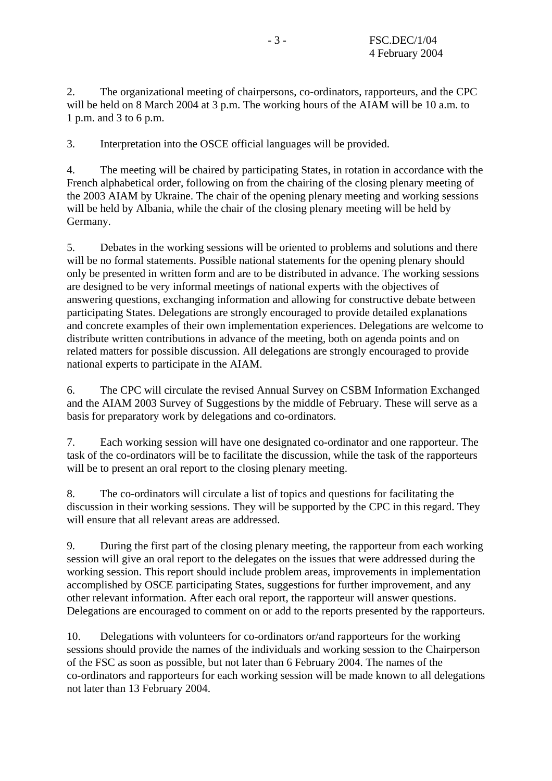2. The organizational meeting of chairpersons, co-ordinators, rapporteurs, and the CPC will be held on 8 March 2004 at 3 p.m. The working hours of the AIAM will be 10 a.m. to 1 p.m. and 3 to 6 p.m.

3. Interpretation into the OSCE official languages will be provided.

4. The meeting will be chaired by participating States, in rotation in accordance with the French alphabetical order, following on from the chairing of the closing plenary meeting of the 2003 AIAM by Ukraine. The chair of the opening plenary meeting and working sessions will be held by Albania, while the chair of the closing plenary meeting will be held by Germany.

5. Debates in the working sessions will be oriented to problems and solutions and there will be no formal statements. Possible national statements for the opening plenary should only be presented in written form and are to be distributed in advance. The working sessions are designed to be very informal meetings of national experts with the objectives of answering questions, exchanging information and allowing for constructive debate between participating States. Delegations are strongly encouraged to provide detailed explanations and concrete examples of their own implementation experiences. Delegations are welcome to distribute written contributions in advance of the meeting, both on agenda points and on related matters for possible discussion. All delegations are strongly encouraged to provide national experts to participate in the AIAM.

6. The CPC will circulate the revised Annual Survey on CSBM Information Exchanged and the AIAM 2003 Survey of Suggestions by the middle of February. These will serve as a basis for preparatory work by delegations and co-ordinators.

7. Each working session will have one designated co-ordinator and one rapporteur. The task of the co-ordinators will be to facilitate the discussion, while the task of the rapporteurs will be to present an oral report to the closing plenary meeting.

8. The co-ordinators will circulate a list of topics and questions for facilitating the discussion in their working sessions. They will be supported by the CPC in this regard. They will ensure that all relevant areas are addressed.

9. During the first part of the closing plenary meeting, the rapporteur from each working session will give an oral report to the delegates on the issues that were addressed during the working session. This report should include problem areas, improvements in implementation accomplished by OSCE participating States, suggestions for further improvement, and any other relevant information. After each oral report, the rapporteur will answer questions. Delegations are encouraged to comment on or add to the reports presented by the rapporteurs.

10. Delegations with volunteers for co-ordinators or/and rapporteurs for the working sessions should provide the names of the individuals and working session to the Chairperson of the FSC as soon as possible, but not later than 6 February 2004. The names of the co-ordinators and rapporteurs for each working session will be made known to all delegations not later than 13 February 2004.